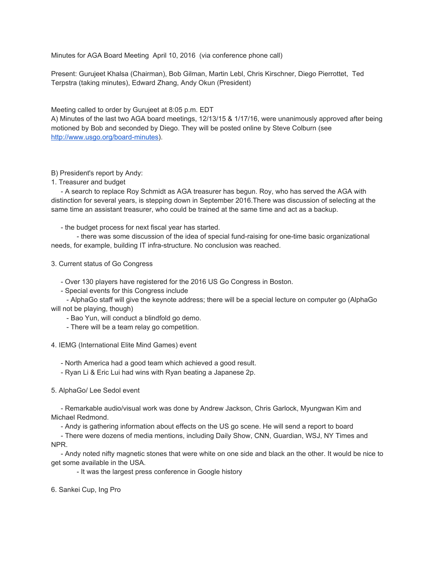Minutes for AGA Board Meeting April 10, 2016 (via conference phone call)

Present: Gurujeet Khalsa (Chairman), Bob Gilman, Martin Lebl, Chris Kirschner, Diego Pierrottet, Ted Terpstra (taking minutes), Edward Zhang, Andy Okun (President)

Meeting called to order by Gurujeet at 8:05 p.m. EDT

A) Minutes of the last two AGA board meetings, 12/13/15 & 1/17/16, were unanimously approved after being motioned by Bob and seconded by Diego. They will be posted online by Steve Colburn (see http://www.usgo.org/board-minutes).

## B) President's report by Andy:

1. Treasurer and budget

 A search to replace Roy Schmidt as AGA treasurer has begun. Roy, who has served the AGA with distinction for several years, is stepping down in September 2016.There was discussion of selecting at the same time an assistant treasurer, who could be trained at the same time and act as a backup.

## - the budget process for next fiscal year has started.

- there was some discussion of the idea of special fund-raising for one-time basic organizational needs, for example, building IT infra-structure. No conclusion was reached.

3. Current status of Go Congress

Over 130 players have registered for the 2016 US Go Congress in Boston.

Special events for this Congress include

 AlphaGo staff will give the keynote address; there will be a special lecture on computer go (AlphaGo will not be playing, though)

- Bao Yun, will conduct a blindfold go demo.

There will be a team relay go competition.

## 4. IEMG (International Elite Mind Games) event

North America had a good team which achieved a good result.

Ryan Li & Eric Lui had wins with Ryan beating a Japanese 2p.

5. AlphaGo/ Lee Sedol event

 Remarkable audio/visual work was done by Andrew Jackson, Chris Garlock, Myungwan Kim and Michael Redmond.

Andy is gathering information about effects on the US go scene. He will send a report to board

 There were dozens of media mentions, including Daily Show, CNN, Guardian, WSJ, NY Times and NPR.

 Andy noted nifty magnetic stones that were white on one side and black an the other. It would be nice to get some available in the USA.

- It was the largest press conference in Google history

6. Sankei Cup, Ing Pro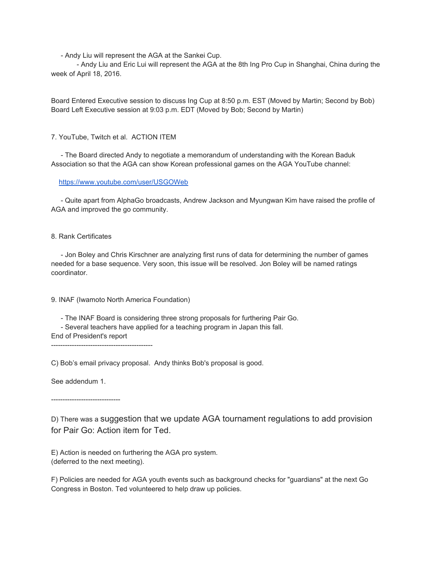Andy Liu will represent the AGA at the Sankei Cup.

 Andy Liu and Eric Lui will represent the AGA at the 8th Ing Pro Cup in Shanghai, China during the week of April 18, 2016.

Board Entered Executive session to discuss Ing Cup at 8:50 p.m. EST (Moved by Martin; Second by Bob) Board Left Executive session at 9:03 p.m. EDT (Moved by Bob; Second by Martin)

7. YouTube, Twitch et al. ACTION ITEM

 The Board directed Andy to negotiate a memorandum of understanding with the Korean Baduk Association so that the AGA can show Korean professional games on the AGA YouTube channel:

<https://www.youtube.com/user/USGOWeb>

 Quite apart from AlphaGo broadcasts, Andrew Jackson and Myungwan Kim have raised the profile of AGA and improved the go community.

## 8. Rank Certificates

 Jon Boley and Chris Kirschner are analyzing first runs of data for determining the number of games needed for a base sequence. Very soon, this issue will be resolved. Jon Boley will be named ratings coordinator.

9. INAF (Iwamoto North America Foundation)

The INAF Board is considering three strong proposals for furthering Pair Go.

Several teachers have applied for a teaching program in Japan this fall.

End of President's report 

C) Bob's email privacy proposal. Andy thinks Bob's proposal is good.

See addendum 1.

-----------------------------

D) There was a suggestion that we update AGA tournament regulations to add provision for Pair Go: Action item for Ted.

E) Action is needed on furthering the AGA pro system. (deferred to the next meeting).

F) Policies are needed for AGA youth events such as background checks for "guardians" at the next Go Congress in Boston. Ted volunteered to help draw up policies.